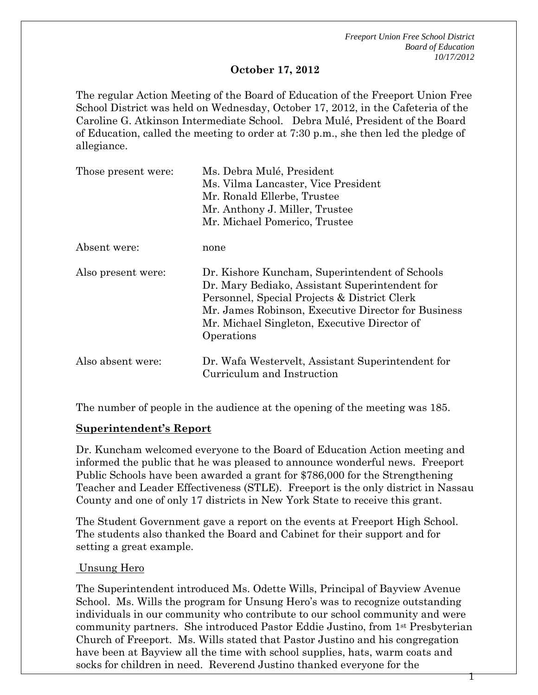1

#### **October 17, 2012**

The regular Action Meeting of the Board of Education of the Freeport Union Free School District was held on Wednesday, October 17, 2012, in the Cafeteria of the Caroline G. Atkinson Intermediate School. Debra Mulé, President of the Board of Education, called the meeting to order at 7:30 p.m., she then led the pledge of allegiance.

| Those present were: | Ms. Debra Mulé, President<br>Ms. Vilma Lancaster, Vice President<br>Mr. Ronald Ellerbe, Trustee<br>Mr. Anthony J. Miller, Trustee<br>Mr. Michael Pomerico, Trustee                                                                                                    |
|---------------------|-----------------------------------------------------------------------------------------------------------------------------------------------------------------------------------------------------------------------------------------------------------------------|
| Absent were:        | none                                                                                                                                                                                                                                                                  |
| Also present were:  | Dr. Kishore Kuncham, Superintendent of Schools<br>Dr. Mary Bediako, Assistant Superintendent for<br>Personnel, Special Projects & District Clerk<br>Mr. James Robinson, Executive Director for Business<br>Mr. Michael Singleton, Executive Director of<br>Operations |
| Also absent were:   | Dr. Wafa Westervelt, Assistant Superintendent for<br>Curriculum and Instruction                                                                                                                                                                                       |

The number of people in the audience at the opening of the meeting was 185.

#### **Superintendent's Report**

Dr. Kuncham welcomed everyone to the Board of Education Action meeting and informed the public that he was pleased to announce wonderful news. Freeport Public Schools have been awarded a grant for \$786,000 for the Strengthening Teacher and Leader Effectiveness (STLE). Freeport is the only district in Nassau County and one of only 17 districts in New York State to receive this grant.

The Student Government gave a report on the events at Freeport High School. The students also thanked the Board and Cabinet for their support and for setting a great example.

#### Unsung Hero

The Superintendent introduced Ms. Odette Wills, Principal of Bayview Avenue School. Ms. Wills the program for Unsung Hero's was to recognize outstanding individuals in our community who contribute to our school community and were community partners. She introduced Pastor Eddie Justino, from 1st Presbyterian Church of Freeport. Ms. Wills stated that Pastor Justino and his congregation have been at Bayview all the time with school supplies, hats, warm coats and socks for children in need. Reverend Justino thanked everyone for the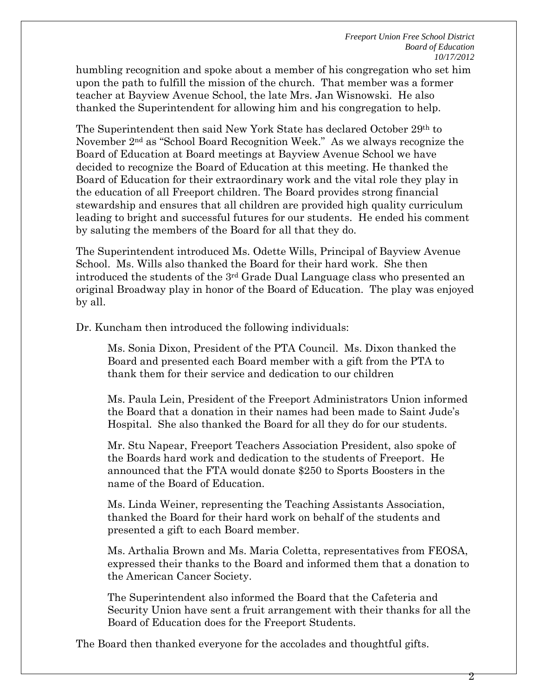humbling recognition and spoke about a member of his congregation who set him upon the path to fulfill the mission of the church. That member was a former teacher at Bayview Avenue School, the late Mrs. Jan Wisnowski. He also thanked the Superintendent for allowing him and his congregation to help.

The Superintendent then said New York State has declared October 29th to November 2nd as "School Board Recognition Week." As we always recognize the Board of Education at Board meetings at Bayview Avenue School we have decided to recognize the Board of Education at this meeting. He thanked the Board of Education for their extraordinary work and the vital role they play in the education of all Freeport children. The Board provides strong financial stewardship and ensures that all children are provided high quality curriculum leading to bright and successful futures for our students. He ended his comment by saluting the members of the Board for all that they do.

The Superintendent introduced Ms. Odette Wills, Principal of Bayview Avenue School. Ms. Wills also thanked the Board for their hard work. She then introduced the students of the 3rd Grade Dual Language class who presented an original Broadway play in honor of the Board of Education. The play was enjoyed by all.

Dr. Kuncham then introduced the following individuals:

Ms. Sonia Dixon, President of the PTA Council. Ms. Dixon thanked the Board and presented each Board member with a gift from the PTA to thank them for their service and dedication to our children

Ms. Paula Lein, President of the Freeport Administrators Union informed the Board that a donation in their names had been made to Saint Jude's Hospital. She also thanked the Board for all they do for our students.

Mr. Stu Napear, Freeport Teachers Association President, also spoke of the Boards hard work and dedication to the students of Freeport. He announced that the FTA would donate \$250 to Sports Boosters in the name of the Board of Education.

Ms. Linda Weiner, representing the Teaching Assistants Association, thanked the Board for their hard work on behalf of the students and presented a gift to each Board member.

Ms. Arthalia Brown and Ms. Maria Coletta, representatives from FEOSA, expressed their thanks to the Board and informed them that a donation to the American Cancer Society.

The Superintendent also informed the Board that the Cafeteria and Security Union have sent a fruit arrangement with their thanks for all the Board of Education does for the Freeport Students.

The Board then thanked everyone for the accolades and thoughtful gifts.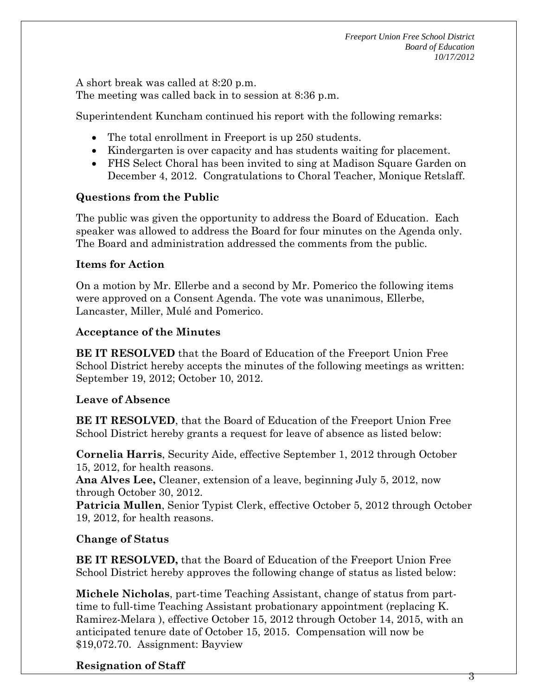A short break was called at 8:20 p.m. The meeting was called back in to session at 8:36 p.m.

Superintendent Kuncham continued his report with the following remarks:

- The total enrollment in Freeport is up 250 students.
- Kindergarten is over capacity and has students waiting for placement.
- FHS Select Choral has been invited to sing at Madison Square Garden on December 4, 2012. Congratulations to Choral Teacher, Monique Retslaff.

# **Questions from the Public**

The public was given the opportunity to address the Board of Education. Each speaker was allowed to address the Board for four minutes on the Agenda only. The Board and administration addressed the comments from the public.

#### **Items for Action**

On a motion by Mr. Ellerbe and a second by Mr. Pomerico the following items were approved on a Consent Agenda. The vote was unanimous, Ellerbe, Lancaster, Miller, Mulé and Pomerico.

#### **Acceptance of the Minutes**

**BE IT RESOLVED** that the Board of Education of the Freeport Union Free School District hereby accepts the minutes of the following meetings as written: September 19, 2012; October 10, 2012.

# **Leave of Absence**

**BE IT RESOLVED**, that the Board of Education of the Freeport Union Free School District hereby grants a request for leave of absence as listed below:

**Cornelia Harris**, Security Aide, effective September 1, 2012 through October 15, 2012, for health reasons.

**Ana Alves Lee,** Cleaner, extension of a leave, beginning July 5, 2012, now through October 30, 2012.

**Patricia Mullen**, Senior Typist Clerk, effective October 5, 2012 through October 19, 2012, for health reasons.

# **Change of Status**

**BE IT RESOLVED,** that the Board of Education of the Freeport Union Free School District hereby approves the following change of status as listed below:

**Michele Nicholas**, part-time Teaching Assistant, change of status from parttime to full-time Teaching Assistant probationary appointment (replacing K. Ramirez-Melara ), effective October 15, 2012 through October 14, 2015, with an anticipated tenure date of October 15, 2015. Compensation will now be \$19,072.70. Assignment: Bayview

# **Resignation of Staff**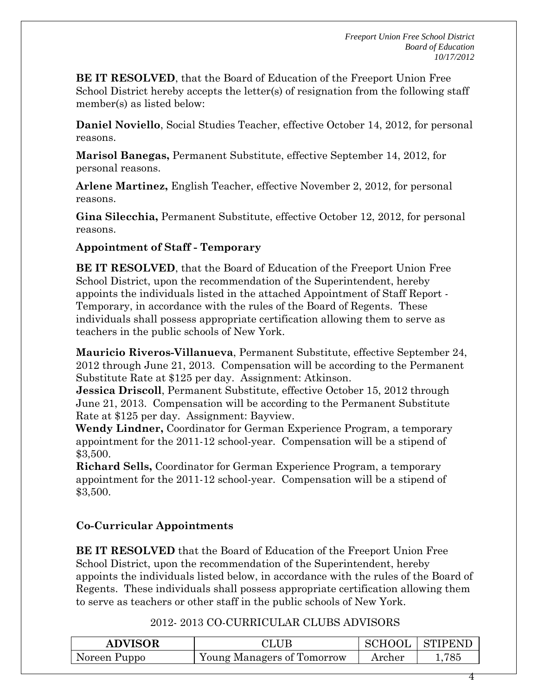**BE IT RESOLVED**, that the Board of Education of the Freeport Union Free School District hereby accepts the letter(s) of resignation from the following staff member(s) as listed below:

**Daniel Noviello**, Social Studies Teacher, effective October 14, 2012, for personal reasons.

**Marisol Banegas,** Permanent Substitute, effective September 14, 2012, for personal reasons.

**Arlene Martinez,** English Teacher, effective November 2, 2012, for personal reasons.

**Gina Silecchia,** Permanent Substitute, effective October 12, 2012, for personal reasons.

# **Appointment of Staff - Temporary**

**BE IT RESOLVED**, that the Board of Education of the Freeport Union Free School District, upon the recommendation of the Superintendent, hereby appoints the individuals listed in the attached Appointment of Staff Report - Temporary, in accordance with the rules of the Board of Regents. These individuals shall possess appropriate certification allowing them to serve as teachers in the public schools of New York.

**Mauricio Riveros-Villanueva**, Permanent Substitute, effective September 24, 2012 through June 21, 2013. Compensation will be according to the Permanent Substitute Rate at \$125 per day. Assignment: Atkinson.

**Jessica Driscoll**, Permanent Substitute, effective October 15, 2012 through June 21, 2013. Compensation will be according to the Permanent Substitute Rate at \$125 per day. Assignment: Bayview.

**Wendy Lindner,** Coordinator for German Experience Program, a temporary appointment for the 2011-12 school-year. Compensation will be a stipend of \$3,500.

**Richard Sells,** Coordinator for German Experience Program, a temporary appointment for the 2011-12 school-year. Compensation will be a stipend of \$3,500.

# **Co-Curricular Appointments**

**BE IT RESOLVED** that the Board of Education of the Freeport Union Free School District, upon the recommendation of the Superintendent, hereby appoints the individuals listed below, in accordance with the rules of the Board of Regents. These individuals shall possess appropriate certification allowing them to serve as teachers or other staff in the public schools of New York.

# 2012- 2013 CO-CURRICULAR CLUBS ADVISORS

| <b>ADVISOR</b> |                                   | SCHOOL | <b>STIPENP</b> |
|----------------|-----------------------------------|--------|----------------|
| Noreen Puppo   | <b>Young Managers of Tomorrow</b> | Archer | 785            |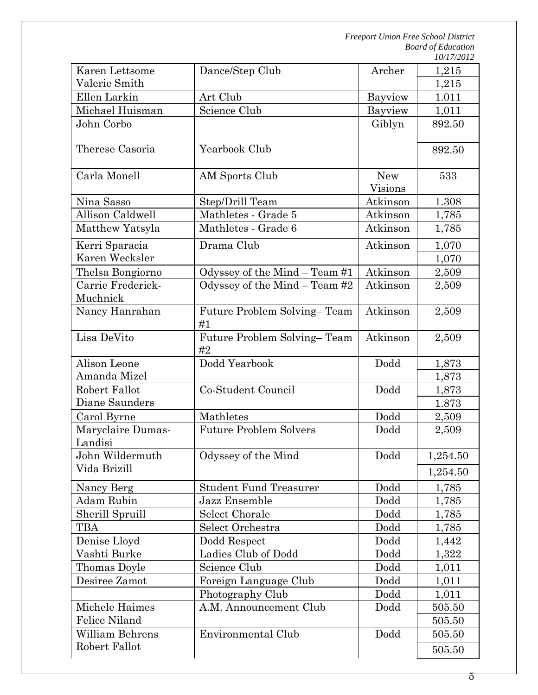| Karen Lettsome                | Dance/Step Club                   | Archer                | 1,215    |
|-------------------------------|-----------------------------------|-----------------------|----------|
| Valerie Smith                 |                                   |                       | 1,215    |
| Ellen Larkin                  | Art Club                          | Bayview               | 1.011    |
| Michael Huisman               | Science Club                      | Bayview               | 1,011    |
| John Corbo                    |                                   | Giblyn                | 892.50   |
| Therese Casoria               | Yearbook Club                     |                       | 892.50   |
| Carla Monell                  | AM Sports Club                    | <b>New</b><br>Visions | 533      |
| Nina Sasso                    | Step/Drill Team                   | Atkinson              | 1.308    |
| Allison Caldwell              | Mathletes - Grade 5               | Atkinson              | 1,785    |
| Matthew Yatsyla               | Mathletes - Grade 6               | Atkinson              | 1,785    |
| Kerri Sparacia                | Drama Club                        | Atkinson              | 1,070    |
| Karen Wecksler                |                                   |                       | 1,070    |
| Thelsa Bongiorno              | Odyssey of the Mind - Team #1     | Atkinson              | 2,509    |
| Carrie Frederick-<br>Muchnick | Odyssey of the Mind $-$ Team #2   | Atkinson              | 2,509    |
| Nancy Hanrahan                | Future Problem Solving-Team<br>#1 | Atkinson              | 2,509    |
| Lisa DeVito                   | Future Problem Solving-Team<br>#2 | Atkinson              | 2,509    |
| Alison Leone                  | Dodd Yearbook                     | Dodd                  | 1,873    |
| Amanda Mizel                  |                                   |                       | 1,873    |
| Robert Fallot                 | Co-Student Council                | Dodd                  | 1,873    |
| Diane Saunders                |                                   |                       | 1.873    |
| Carol Byrne                   | Mathletes                         | Dodd                  | 2,509    |
| Maryclaire Dumas-<br>Landisi  | <b>Future Problem Solvers</b>     | Dodd                  | 2,509    |
| John Wildermuth               | Odyssey of the Mind               | Dodd                  | 1,254.50 |
| Vida Brizill                  |                                   |                       | 1,254.50 |
| Nancy Berg                    | <b>Student Fund Treasurer</b>     | Dodd                  | 1,785    |
| Adam Rubin                    | Jazz Ensemble                     | Dodd                  | 1,785    |
| Sherill Spruill               | Select Chorale                    | Dodd                  | 1,785    |
| TBA                           | Select Orchestra                  | Dodd                  | 1,785    |
| Denise Lloyd                  | Dodd Respect                      | Dodd                  | 1,442    |
| Vashti Burke                  | Ladies Club of Dodd               | Dodd                  | 1,322    |
| Thomas Doyle                  | Science Club                      | Dodd                  | 1,011    |
| Desiree Zamot                 | Foreign Language Club             | Dodd                  | 1,011    |
|                               | Photography Club                  | Dodd                  | 1,011    |
| Michele Haimes                | A.M. Announcement Club            | Dodd                  | 505.50   |
| Felice Niland                 |                                   |                       | 505.50   |
| William Behrens               | <b>Environmental Club</b>         | Dodd                  | 505.50   |
| Robert Fallot                 |                                   |                       | 505.50   |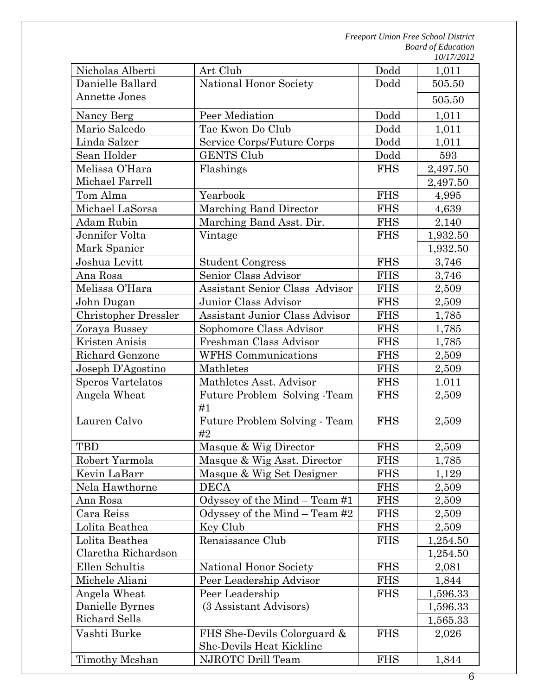| Nicholas Alberti            | Art Club                              | Dodd       | 1,011    |
|-----------------------------|---------------------------------------|------------|----------|
| Danielle Ballard            | National Honor Society                | Dodd       | 505.50   |
| <b>Annette Jones</b>        |                                       |            | 505.50   |
| Nancy Berg                  | Peer Mediation                        | Dodd       | 1,011    |
| Mario Salcedo               | Tae Kwon Do Club                      | Dodd       | 1,011    |
| Linda Salzer                | Service Corps/Future Corps            | Dodd       | 1,011    |
| Sean Holder                 | <b>GENTS Club</b>                     | Dodd       | 593      |
| Melissa O'Hara              | Flashings                             | <b>FHS</b> | 2,497.50 |
| Michael Farrell             |                                       |            | 2,497.50 |
| Tom Alma                    | Yearbook                              | <b>FHS</b> | 4,995    |
| Michael LaSorsa             | Marching Band Director                | <b>FHS</b> | 4,639    |
| Adam Rubin                  | Marching Band Asst. Dir.              | <b>FHS</b> | 2,140    |
| Jennifer Volta              | Vintage                               | <b>FHS</b> | 1,932.50 |
| Mark Spanier                |                                       |            | 1,932.50 |
| Joshua Levitt               | <b>Student Congress</b>               | <b>FHS</b> | 3,746    |
| Ana Rosa                    | Senior Class Advisor                  | <b>FHS</b> | 3,746    |
| Melissa O'Hara              | <b>Assistant Senior Class Advisor</b> | <b>FHS</b> | 2,509    |
| John Dugan                  | Junior Class Advisor                  | <b>FHS</b> | 2,509    |
| <b>Christopher Dressler</b> | <b>Assistant Junior Class Advisor</b> | <b>FHS</b> | 1,785    |
| Zoraya Bussey               | Sophomore Class Advisor               | <b>FHS</b> | 1,785    |
| Kristen Anisis              | Freshman Class Advisor                | <b>FHS</b> | 1,785    |
| Richard Genzone             | <b>WFHS Communications</b>            | <b>FHS</b> | 2,509    |
| Joseph D'Agostino           | Mathletes                             | <b>FHS</b> | 2,509    |
| <b>Speros Vartelatos</b>    | Mathletes Asst. Advisor               | <b>FHS</b> | 1.011    |
| Angela Wheat                | Future Problem Solving -Team<br>#1    | <b>FHS</b> | 2,509    |
| Lauren Calvo                | Future Problem Solving - Team<br>#2   | <b>FHS</b> | 2,509    |
| <b>TBD</b>                  | Masque & Wig Director                 | <b>FHS</b> | 2,509    |
| Robert Yarmola              | Masque & Wig Asst. Director           | <b>FHS</b> | 1,785    |
| Kevin LaBarr                | Masque & Wig Set Designer             | <b>FHS</b> | 1,129    |
| Nela Hawthorne              | <b>DECA</b>                           | <b>FHS</b> | 2,509    |
| Ana Rosa                    | Odyssey of the Mind $-$ Team #1       | <b>FHS</b> | 2,509    |
| Cara Reiss                  | Odyssey of the Mind $-$ Team #2       | <b>FHS</b> | 2,509    |
| Lolita Beathea              | Key Club                              | <b>FHS</b> | 2,509    |
| Lolita Beathea              | Renaissance Club                      | <b>FHS</b> | 1,254.50 |
| Claretha Richardson         |                                       |            | 1,254.50 |
| Ellen Schultis              | National Honor Society                | <b>FHS</b> | 2,081    |
| Michele Aliani              | Peer Leadership Advisor               | <b>FHS</b> | 1,844    |
| Angela Wheat                | Peer Leadership                       | <b>FHS</b> | 1,596.33 |
| Danielle Byrnes             | (3 Assistant Advisors)                |            | 1,596.33 |
| Richard Sells               |                                       |            | 1,565.33 |
| Vashti Burke                | FHS She-Devils Colorguard &           | <b>FHS</b> | 2,026    |
|                             | She-Devils Heat Kickline              |            |          |
| Timothy Mcshan              | NJROTC Drill Team                     | <b>FHS</b> | 1,844    |
|                             |                                       |            |          |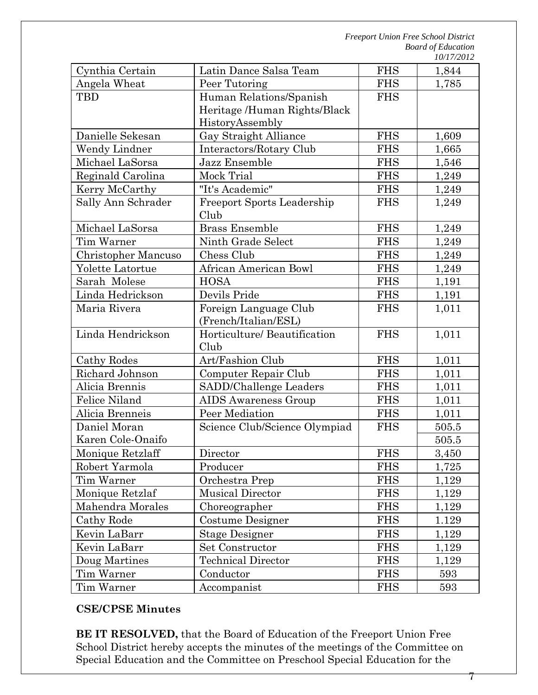| Cynthia Certain     | Latin Dance Salsa Team               | <b>FHS</b> | 1,844 |
|---------------------|--------------------------------------|------------|-------|
| Angela Wheat        | Peer Tutoring                        | <b>FHS</b> | 1,785 |
| TBD                 | Human Relations/Spanish              | <b>FHS</b> |       |
|                     | Heritage /Human Rights/Black         |            |       |
|                     | HistoryAssembly                      |            |       |
| Danielle Sekesan    | Gay Straight Alliance                | <b>FHS</b> | 1,609 |
| Wendy Lindner       | Interactors/Rotary Club              | <b>FHS</b> | 1,665 |
| Michael LaSorsa     | Jazz Ensemble                        | <b>FHS</b> | 1,546 |
| Reginald Carolina   | Mock Trial                           | <b>FHS</b> | 1,249 |
| Kerry McCarthy      | "It's Academic"                      | <b>FHS</b> | 1,249 |
| Sally Ann Schrader  | <b>Freeport Sports Leadership</b>    | <b>FHS</b> | 1,249 |
|                     | Club                                 |            |       |
| Michael LaSorsa     | <b>Brass Ensemble</b>                | <b>FHS</b> | 1,249 |
| Tim Warner          | Ninth Grade Select                   | <b>FHS</b> | 1,249 |
| Christopher Mancuso | Chess Club                           | <b>FHS</b> | 1,249 |
| Yolette Latortue    | African American Bowl                | <b>FHS</b> | 1,249 |
| Sarah Molese        | <b>HOSA</b>                          | <b>FHS</b> | 1,191 |
| Linda Hedrickson    | Devils Pride                         | <b>FHS</b> | 1,191 |
| Maria Rivera        | Foreign Language Club                | <b>FHS</b> | 1,011 |
|                     | (French/Italian/ESL)                 |            |       |
| Linda Hendrickson   | Horticulture/ Beautification         | <b>FHS</b> | 1,011 |
|                     | Club                                 |            |       |
| Cathy Rodes         | Art/Fashion Club                     | <b>FHS</b> | 1,011 |
| Richard Johnson     | Computer Repair Club                 | <b>FHS</b> | 1,011 |
| Alicia Brennis      | SADD/Challenge Leaders               | <b>FHS</b> | 1,011 |
| Felice Niland       | <b>AIDS</b> Awareness Group          | <b>FHS</b> | 1,011 |
| Alicia Brenneis     | Peer Mediation                       | <b>FHS</b> | 1,011 |
| Daniel Moran        | Science Club/Science Olympiad        | <b>FHS</b> | 505.5 |
| Karen Cole-Onaifo   |                                      |            | 505.5 |
| Monique Retzlaff    | $\label{eq:linear} \text{Directory}$ | <b>FHS</b> | 3,450 |
| Robert Yarmola      | Producer                             | <b>FHS</b> | 1,725 |
| Tim Warner          | Orchestra Prep                       |            | 1,129 |
| Monique Retzlaf     | <b>Musical Director</b>              | <b>FHS</b> | 1,129 |
| Mahendra Morales    | Choreographer                        | <b>FHS</b> | 1,129 |
| Cathy Rode          | Costume Designer                     | <b>FHS</b> | 1.129 |
| Kevin LaBarr        | <b>Stage Designer</b>                | <b>FHS</b> | 1,129 |
| Kevin LaBarr        | Set Constructor                      | <b>FHS</b> | 1,129 |
| Doug Martines       | <b>Technical Director</b>            | <b>FHS</b> | 1,129 |
| Tim Warner          | Conductor                            | <b>FHS</b> | 593   |
| Tim Warner          | Accompanist                          | <b>FHS</b> | 593   |

# **CSE/CPSE Minutes**

**BE IT RESOLVED,** that the Board of Education of the Freeport Union Free School District hereby accepts the minutes of the meetings of the Committee on Special Education and the Committee on Preschool Special Education for the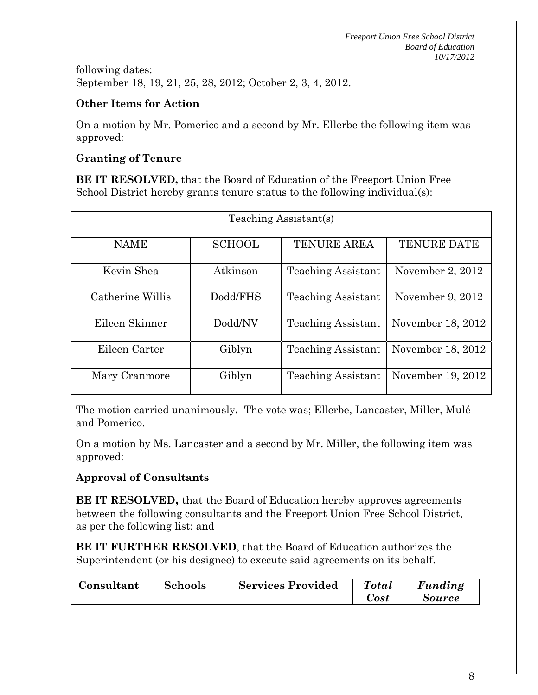following dates: September 18, 19, 21, 25, 28, 2012; October 2, 3, 4, 2012.

# **Other Items for Action**

On a motion by Mr. Pomerico and a second by Mr. Ellerbe the following item was approved:

# **Granting of Tenure**

**BE IT RESOLVED,** that the Board of Education of the Freeport Union Free School District hereby grants tenure status to the following individual(s):

| Teaching Assistant(s) |               |                           |                    |  |  |
|-----------------------|---------------|---------------------------|--------------------|--|--|
| <b>NAME</b>           | <b>SCHOOL</b> | <b>TENURE AREA</b>        | <b>TENURE DATE</b> |  |  |
| Kevin Shea            | Atkinson      | <b>Teaching Assistant</b> | November 2, 2012   |  |  |
| Catherine Willis      | Dodd/FHS      | <b>Teaching Assistant</b> | November 9, 2012   |  |  |
| Eileen Skinner        | Dodd/NV       | <b>Teaching Assistant</b> | November 18, 2012  |  |  |
| Eileen Carter         | Giblyn        | <b>Teaching Assistant</b> | November 18, 2012  |  |  |
| Mary Cranmore         | Giblyn        | <b>Teaching Assistant</b> | November 19, 2012  |  |  |

The motion carried unanimously**.** The vote was; Ellerbe, Lancaster, Miller, Mulé and Pomerico.

On a motion by Ms. Lancaster and a second by Mr. Miller, the following item was approved:

# **Approval of Consultants**

**BE IT RESOLVED,** that the Board of Education hereby approves agreements between the following consultants and the Freeport Union Free School District, as per the following list; and

**BE IT FURTHER RESOLVED**, that the Board of Education authorizes the Superintendent (or his designee) to execute said agreements on its behalf.

| Consultant | <b>Schools</b> | <b>Services Provided</b> | Total<br><i>Sost</i> | Funding<br>Source |
|------------|----------------|--------------------------|----------------------|-------------------|
|            |                |                          |                      |                   |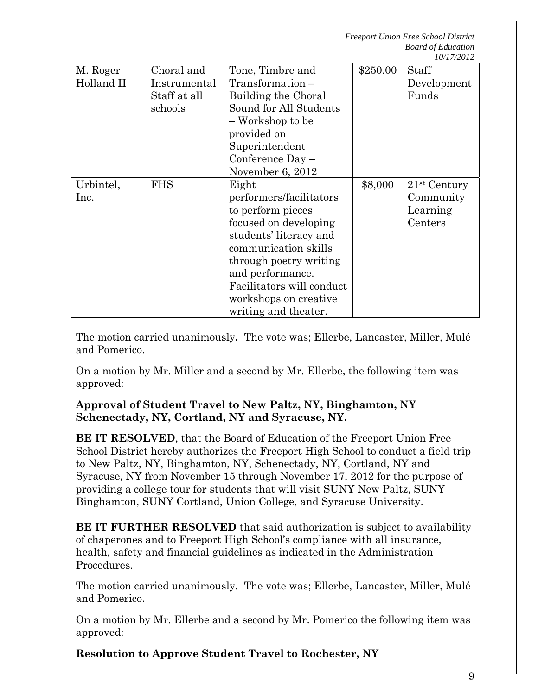|            |              |                           |          | 19/17/4914     |
|------------|--------------|---------------------------|----------|----------------|
| M. Roger   | Choral and   | Tone, Timbre and          | \$250.00 | <b>Staff</b>   |
| Holland II | Instrumental | $Transformation -$        |          | Development    |
|            | Staff at all | Building the Choral       |          | Funds          |
|            | schools      | Sound for All Students    |          |                |
|            |              | - Workshop to be          |          |                |
|            |              | provided on               |          |                |
|            |              | Superintendent            |          |                |
|            |              | Conference $Day -$        |          |                |
|            |              | November 6, 2012          |          |                |
| Urbintel,  | <b>FHS</b>   | Eight                     | \$8,000  | $21st$ Century |
| Inc.       |              | performers/facilitators   |          | Community      |
|            |              | to perform pieces         |          | Learning       |
|            |              | focused on developing     |          | Centers        |
|            |              | students' literacy and    |          |                |
|            |              | communication skills      |          |                |
|            |              | through poetry writing    |          |                |
|            |              | and performance.          |          |                |
|            |              | Facilitators will conduct |          |                |
|            |              | workshops on creative     |          |                |
|            |              | writing and theater.      |          |                |

The motion carried unanimously**.** The vote was; Ellerbe, Lancaster, Miller, Mulé and Pomerico.

On a motion by Mr. Miller and a second by Mr. Ellerbe, the following item was approved:

#### **Approval of Student Travel to New Paltz, NY, Binghamton, NY Schenectady, NY, Cortland, NY and Syracuse, NY.**

**BE IT RESOLVED**, that the Board of Education of the Freeport Union Free School District hereby authorizes the Freeport High School to conduct a field trip to New Paltz, NY, Binghamton, NY, Schenectady, NY, Cortland, NY and Syracuse, NY from November 15 through November 17, 2012 for the purpose of providing a college tour for students that will visit SUNY New Paltz, SUNY Binghamton, SUNY Cortland, Union College, and Syracuse University.

**BE IT FURTHER RESOLVED** that said authorization is subject to availability of chaperones and to Freeport High School's compliance with all insurance, health, safety and financial guidelines as indicated in the Administration Procedures.

The motion carried unanimously**.** The vote was; Ellerbe, Lancaster, Miller, Mulé and Pomerico.

On a motion by Mr. Ellerbe and a second by Mr. Pomerico the following item was approved:

**Resolution to Approve Student Travel to Rochester, NY**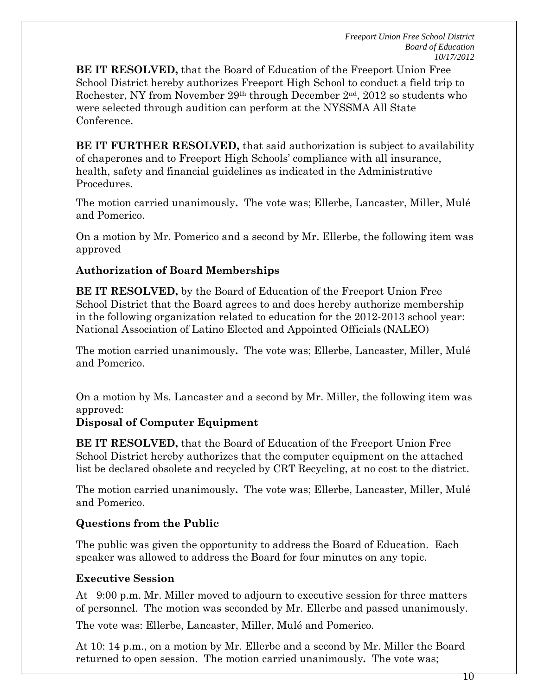**BE IT RESOLVED,** that the Board of Education of the Freeport Union Free School District hereby authorizes Freeport High School to conduct a field trip to Rochester, NY from November 29th through December 2nd, 2012 so students who were selected through audition can perform at the NYSSMA All State Conference.

**BE IT FURTHER RESOLVED,** that said authorization is subject to availability of chaperones and to Freeport High Schools' compliance with all insurance, health, safety and financial guidelines as indicated in the Administrative Procedures.

The motion carried unanimously**.** The vote was; Ellerbe, Lancaster, Miller, Mulé and Pomerico.

On a motion by Mr. Pomerico and a second by Mr. Ellerbe, the following item was approved

#### **Authorization of Board Memberships**

**BE IT RESOLVED,** by the Board of Education of the Freeport Union Free School District that the Board agrees to and does hereby authorize membership in the following organization related to education for the 2012-2013 school year: National Association of Latino Elected and Appointed Officials (NALEO)

The motion carried unanimously**.** The vote was; Ellerbe, Lancaster, Miller, Mulé and Pomerico.

On a motion by Ms. Lancaster and a second by Mr. Miller, the following item was approved:

#### **Disposal of Computer Equipment**

**BE IT RESOLVED,** that the Board of Education of the Freeport Union Free School District hereby authorizes that the computer equipment on the attached list be declared obsolete and recycled by CRT Recycling, at no cost to the district.

The motion carried unanimously**.** The vote was; Ellerbe, Lancaster, Miller, Mulé and Pomerico.

# **Questions from the Public**

The public was given the opportunity to address the Board of Education. Each speaker was allowed to address the Board for four minutes on any topic.

# **Executive Session**

At 9:00 p.m. Mr. Miller moved to adjourn to executive session for three matters of personnel. The motion was seconded by Mr. Ellerbe and passed unanimously.

The vote was: Ellerbe, Lancaster, Miller, Mulé and Pomerico.

At 10: 14 p.m., on a motion by Mr. Ellerbe and a second by Mr. Miller the Board returned to open session. The motion carried unanimously**.** The vote was;